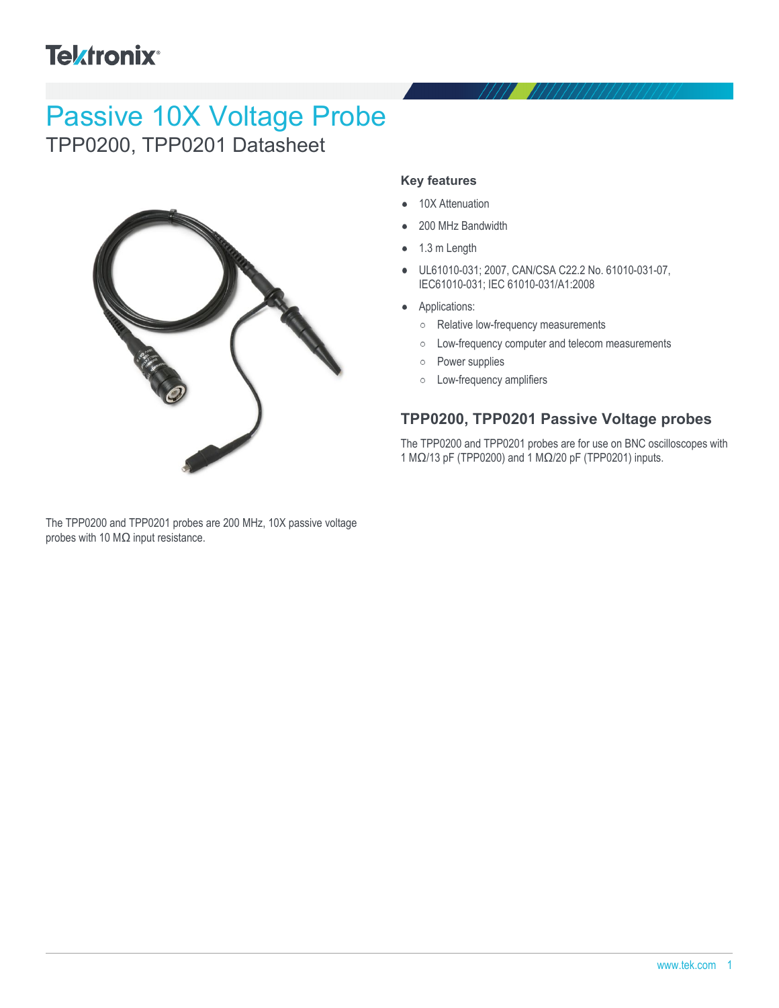## **Tektronix®**

# Passive 10X Voltage Probe

TPP0200, TPP0201 Datasheet



The TPP0200 and TPP0201 probes are 200 MHz, 10X passive voltage probes with 10 MΩ input resistance.

#### **Key features**

- 10X Attenuation
- 200 MHz Bandwidth  $\bullet$
- 1.3 m Length
- UL61010-031; 2007, CAN/CSA C22.2 No. 61010-031-07, IEC61010-031; IEC 61010-031/A1:2008
- Applications:
	- Relative low-frequency measurements
	- Low-frequency computer and telecom measurements  $\circ$
	- Power supplies  $\circ$
	- Low-frequency amplifiers

### **TPP0200, TPP0201 Passive Voltage probes**

The TPP0200 and TPP0201 probes are for use on BNC oscilloscopes with 1 MΩ/13 pF (TPP0200) and 1 MΩ/20 pF (TPP0201) inputs.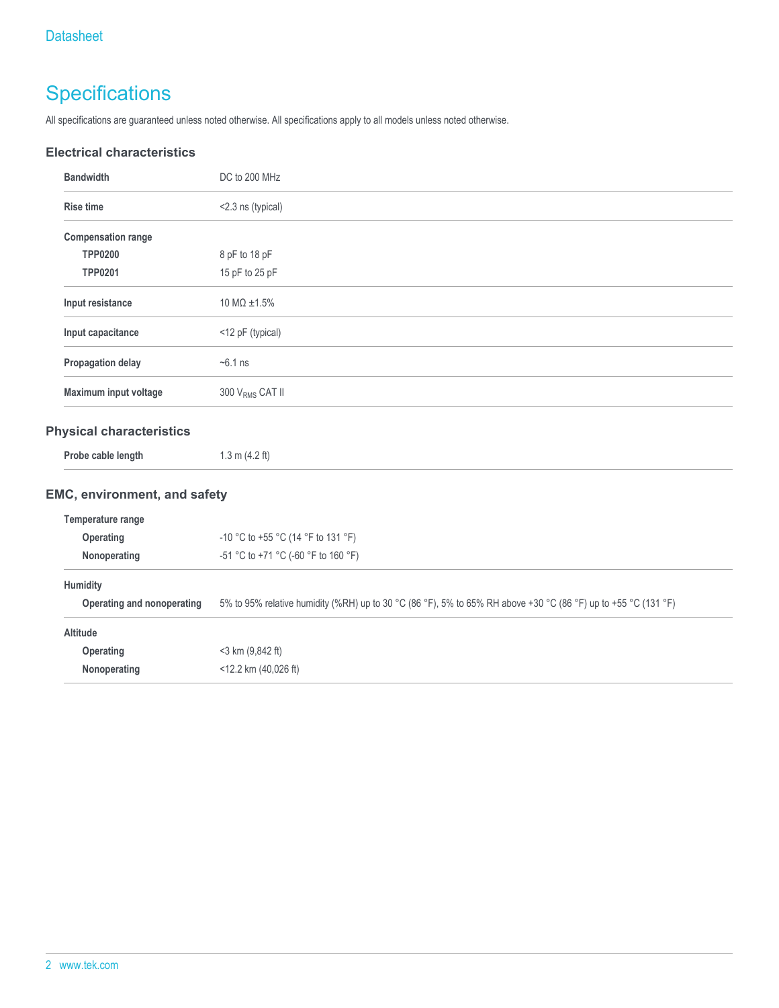### **Specifications**

All specifications are guaranteed unless noted otherwise. All specifications apply to all models unless noted otherwise.

### **Electrical characteristics**

| <b>Bandwidth</b>          | DC to 200 MHz                  |  |
|---------------------------|--------------------------------|--|
| <b>Rise time</b>          | <2.3 ns (typical)              |  |
| <b>Compensation range</b> |                                |  |
| <b>TPP0200</b>            | 8 pF to 18 pF                  |  |
| <b>TPP0201</b>            | 15 pF to 25 pF                 |  |
| Input resistance          | $10 \text{ M}\Omega \pm 1.5\%$ |  |
| Input capacitance         | <12 pF (typical)               |  |
| Propagation delay         | $-6.1$ ns                      |  |
| Maximum input voltage     | 300 V <sub>RMS</sub> CAT II    |  |
|                           |                                |  |

### **Physical characteristics**

#### **EMC, environment, and safety**

| Temperature range          |                                                                                                                |  |  |
|----------------------------|----------------------------------------------------------------------------------------------------------------|--|--|
| <b>Operating</b>           | -10 °C to +55 °C (14 °F to 131 °F)                                                                             |  |  |
| Nonoperating               | $-51$ °C to +71 °C (-60 °F to 160 °F)                                                                          |  |  |
| Humidity                   |                                                                                                                |  |  |
| Operating and nonoperating | 5% to 95% relative humidity (%RH) up to 30 °C (86 °F), 5% to 65% RH above +30 °C (86 °F) up to +55 °C (131 °F) |  |  |
| <b>Altitude</b>            |                                                                                                                |  |  |
| Operating                  | $<$ 3 km (9,842 ft)                                                                                            |  |  |
| Nonoperating               | $<$ 12.2 km (40,026 ft)                                                                                        |  |  |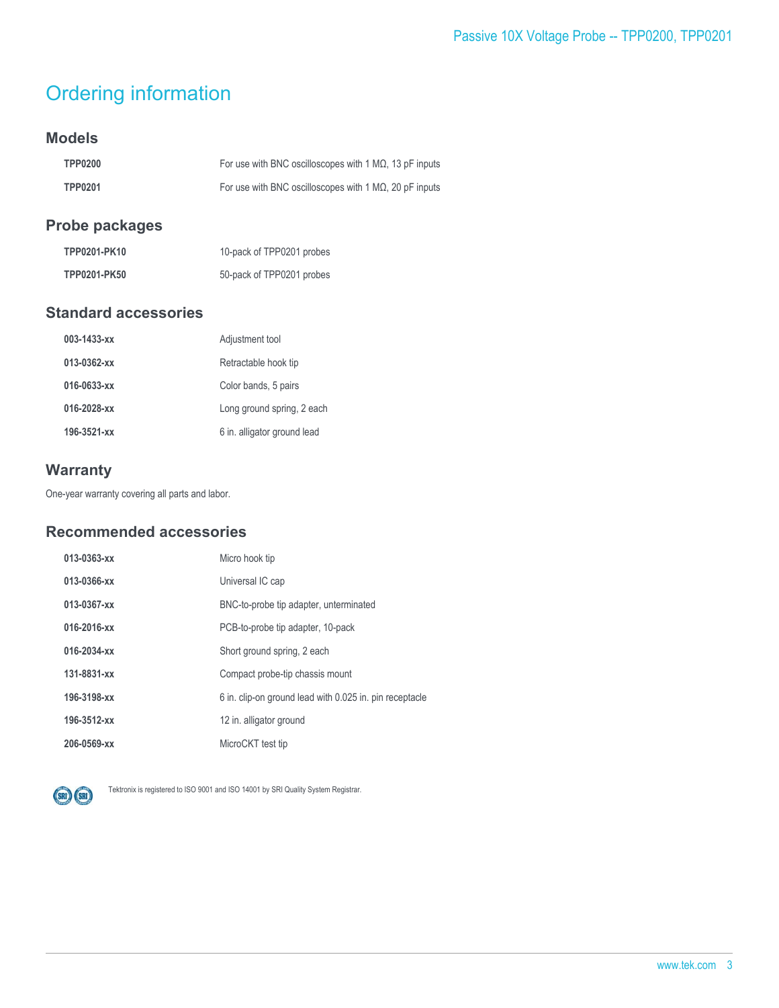### Ordering information

### **Models**

| <b>TPP0200</b> | For use with BNC oscilloscopes with 1 M $\Omega$ , 13 pF inputs |
|----------------|-----------------------------------------------------------------|
| <b>TPP0201</b> | For use with BNC oscilloscopes with 1 M $\Omega$ , 20 pF inputs |

### **Probe packages**

| TPP0201-PK10 | 10-pack of TPP0201 probes |
|--------------|---------------------------|
| TPP0201-PK50 | 50-pack of TPP0201 probes |

### **Standard accessories**

| 003-1433-xx | Adjustment tool             |
|-------------|-----------------------------|
| 013-0362-xx | Retractable hook tip        |
| 016-0633-xx | Color bands, 5 pairs        |
| 016-2028-xx | Long ground spring, 2 each  |
| 196-3521-xx | 6 in. alligator ground lead |

### **Warranty**

One-year warranty covering all parts and labor.

### **Recommended accessories**

| 013-0363-xx | Micro hook tip                                          |
|-------------|---------------------------------------------------------|
| 013-0366-xx | Universal IC cap                                        |
| 013-0367-xx | BNC-to-probe tip adapter, unterminated                  |
| 016-2016-xx | PCB-to-probe tip adapter, 10-pack                       |
| 016-2034-xx | Short ground spring, 2 each                             |
| 131-8831-xx | Compact probe-tip chassis mount                         |
| 196-3198-xx | 6 in. clip-on ground lead with 0.025 in. pin receptacle |
| 196-3512-xx | 12 in. alligator ground                                 |
| 206-0569-xx | MicroCKT test tip                                       |



Tektronix is registered to ISO 9001 and ISO 14001 by SRI Quality System Registrar.